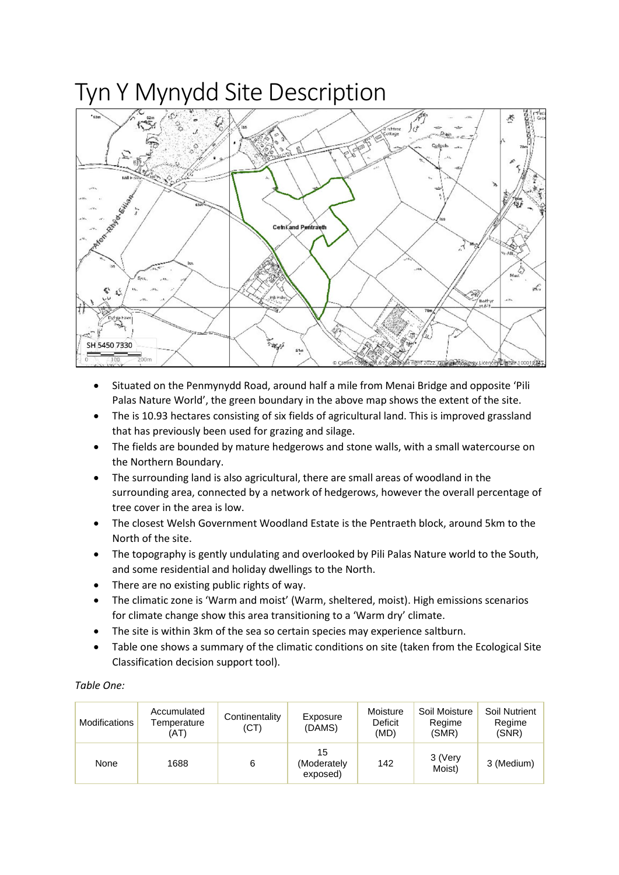## Tyn Y Mynydd Site Description



- Situated on the Penmynydd Road, around half a mile from Menai Bridge and opposite 'Pili Palas Nature World', the green boundary in the above map shows the extent of the site.
- The is 10.93 hectares consisting of six fields of agricultural land. This is improved grassland that has previously been used for grazing and silage.
- The fields are bounded by mature hedgerows and stone walls, with a small watercourse on the Northern Boundary.
- The surrounding land is also agricultural, there are small areas of woodland in the surrounding area, connected by a network of hedgerows, however the overall percentage of tree cover in the area is low.
- The closest Welsh Government Woodland Estate is the Pentraeth block, around 5km to the North of the site.
- The topography is gently undulating and overlooked by Pili Palas Nature world to the South, and some residential and holiday dwellings to the North.
- There are no existing public rights of way.
- The climatic zone is 'Warm and moist' (Warm, sheltered, moist). High emissions scenarios for climate change show this area transitioning to a 'Warm dry' climate.
- The site is within 3km of the sea so certain species may experience saltburn.
- Table one shows a summary of the climatic conditions on site (taken from the Ecological Site Classification decision support tool).

| Table One: |
|------------|
|------------|

| Modifications | Accumulated<br>Temperature<br>(AT) | Continentality<br>(CT) | Exposure<br>(DAMS)            | Moisture<br>Deficit<br>(MD) | Soil Moisture<br>Regime<br>(SMR) | Soil Nutrient<br>Regime<br>(SNR) |
|---------------|------------------------------------|------------------------|-------------------------------|-----------------------------|----------------------------------|----------------------------------|
| None          | 1688                               | 6                      | 15<br>(Moderately<br>exposed) | 142                         | 3 (Very<br>Moist)                | 3 (Medium)                       |